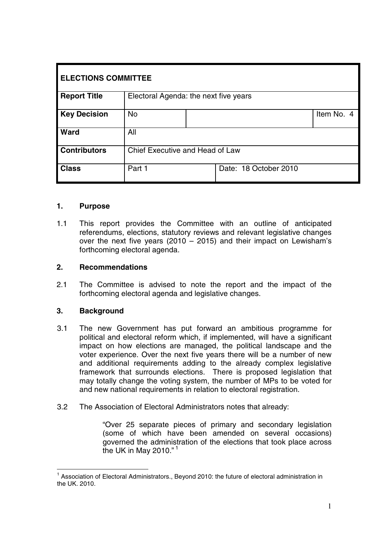| <b>ELECTIONS COMMITTEE</b> |                                       |  |                       |            |  |  |
|----------------------------|---------------------------------------|--|-----------------------|------------|--|--|
| <b>Report Title</b>        | Electoral Agenda: the next five years |  |                       |            |  |  |
| <b>Key Decision</b>        | <b>No</b>                             |  |                       | Item No. 4 |  |  |
| <b>Ward</b>                | All                                   |  |                       |            |  |  |
| <b>Contributors</b>        | Chief Executive and Head of Law       |  |                       |            |  |  |
| <b>Class</b>               | Part 1                                |  | Date: 18 October 2010 |            |  |  |

#### **1. Purpose**

1.1 This report provides the Committee with an outline of anticipated referendums, elections, statutory reviews and relevant legislative changes over the next five years (2010 – 2015) and their impact on Lewisham's forthcoming electoral agenda.

#### **2. Recommendations**

2.1 The Committee is advised to note the report and the impact of the forthcoming electoral agenda and legislative changes.

#### **3. Background**

- 3.1 The new Government has put forward an ambitious programme for political and electoral reform which, if implemented, will have a significant impact on how elections are managed, the political landscape and the voter experience. Over the next five years there will be a number of new and additional requirements adding to the already complex legislative framework that surrounds elections. There is proposed legislation that may totally change the voting system, the number of MPs to be voted for and new national requirements in relation to electoral registration.
- 3.2 The Association of Electoral Administrators notes that already:

"Over 25 separate pieces of primary and secondary legislation (some of which have been amended on several occasions) governed the administration of the elections that took place across the UK in May 2010."<sup>1</sup>

<sup>&</sup>lt;sup>1</sup> Association of Electoral Administrators., Beyond 2010; the future of electoral administration in the UK. 2010.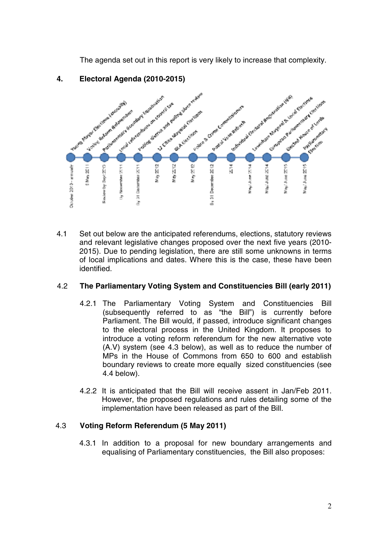The agenda set out in this report is very likely to increase that complexity.



## **4. Electoral Agenda (2010-2015)**

4.1 Set out below are the anticipated referendums, elections, statutory reviews and relevant legislative changes proposed over the next five years (2010- 2015). Due to pending legislation, there are still some unknowns in terms of local implications and dates. Where this is the case, these have been identified.

#### 4.2 **The Parliamentary Voting System and Constituencies Bill (early 2011)**

- 4.2.1 The Parliamentary Voting System and Constituencies Bill (subsequently referred to as "the Bill") is currently before Parliament. The Bill would, if passed, introduce significant changes to the electoral process in the United Kingdom. It proposes to introduce a voting reform referendum for the new alternative vote (A.V) system (see 4.3 below), as well as to reduce the number of MPs in the House of Commons from 650 to 600 and establish boundary reviews to create more equally sized constituencies (see 4.4 below).
- 4.2.2 It is anticipated that the Bill will receive assent in Jan/Feb 2011. However, the proposed regulations and rules detailing some of the implementation have been released as part of the Bill.

## 4.3 **Voting Reform Referendum (5 May 2011)**

4.3.1 In addition to a proposal for new boundary arrangements and equalising of Parliamentary constituencies, the Bill also proposes: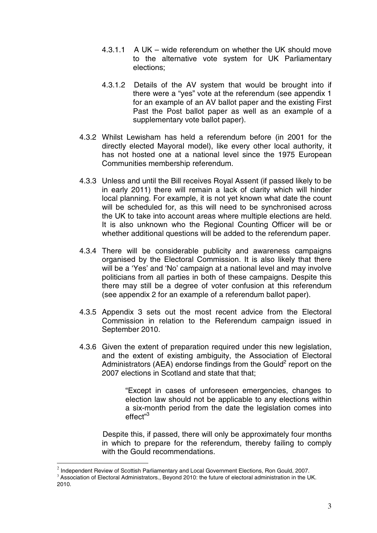- 4.3.1.1 A UK wide referendum on whether the UK should move to the alternative vote system for UK Parliamentary elections;
- 4.3.1.2 Details of the AV system that would be brought into if there were a "yes" vote at the referendum (see appendix 1 for an example of an AV ballot paper and the existing First Past the Post ballot paper as well as an example of a supplementary vote ballot paper).
- 4.3.2 Whilst Lewisham has held a referendum before (in 2001 for the directly elected Mayoral model), like every other local authority, it has not hosted one at a national level since the 1975 European Communities membership referendum.
- 4.3.3 Unless and until the Bill receives Royal Assent (if passed likely to be in early 2011) there will remain a lack of clarity which will hinder local planning. For example, it is not yet known what date the count will be scheduled for, as this will need to be synchronised across the UK to take into account areas where multiple elections are held. It is also unknown who the Regional Counting Officer will be or whether additional questions will be added to the referendum paper.
- 4.3.4 There will be considerable publicity and awareness campaigns organised by the Electoral Commission. It is also likely that there will be a 'Yes' and 'No' campaign at a national level and may involve politicians from all parties in both of these campaigns. Despite this there may still be a degree of voter confusion at this referendum (see appendix 2 for an example of a referendum ballot paper).
- 4.3.5 Appendix 3 sets out the most recent advice from the Electoral Commission in relation to the Referendum campaign issued in September 2010.
- 4.3.6 Given the extent of preparation required under this new legislation, and the extent of existing ambiguity, the Association of Electoral Administrators (AEA) endorse findings from the Gould $2$  report on the 2007 elections in Scotland and state that that:

"Except in cases of unforeseen emergencies, changes to election law should not be applicable to any elections within a six-month period from the date the legislation comes into effect"<sup>3</sup>

Despite this, if passed, there will only be approximately four months in which to prepare for the referendum, thereby failing to comply with the Gould recommendations.

 $2$  Independent Review of Scottish Parliamentary and Local Government Elections, Ron Gould, 2007.

<sup>&</sup>lt;sup>3</sup> Association of Electoral Administrators., Beyond 2010: the future of electoral administration in the UK. 2010.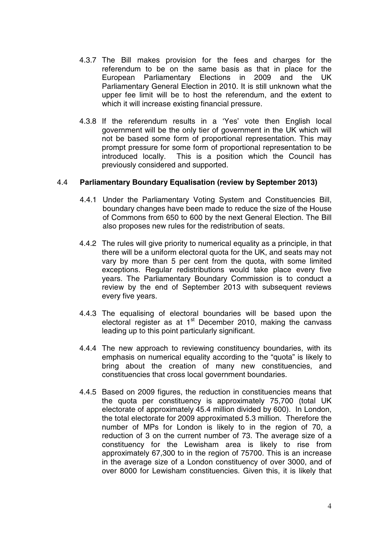- 4.3.7 The Bill makes provision for the fees and charges for the referendum to be on the same basis as that in place for the European Parliamentary Elections in 2009 and the UK Parliamentary General Election in 2010. It is still unknown what the upper fee limit will be to host the referendum, and the extent to which it will increase existing financial pressure.
- 4.3.8 If the referendum results in a 'Yes' vote then English local government will be the only tier of government in the UK which will not be based some form of proportional representation. This may prompt pressure for some form of proportional representation to be introduced locally. This is a position which the Council has previously considered and supported.

#### 4.4 **Parliamentary Boundary Equalisation (review by September 2013)**

- 4.4.1 Under the Parliamentary Voting System and Constituencies Bill, boundary changes have been made to reduce the size of the House of Commons from 650 to 600 by the next General Election. The Bill also proposes new rules for the redistribution of seats.
- 4.4.2 The rules will give priority to numerical equality as a principle, in that there will be a uniform electoral quota for the UK, and seats may not vary by more than 5 per cent from the quota, with some limited exceptions. Regular redistributions would take place every five years. The Parliamentary Boundary Commission is to conduct a review by the end of September 2013 with subsequent reviews every five years.
- 4.4.3 The equalising of electoral boundaries will be based upon the electoral register as at  $1<sup>st</sup>$  December 2010, making the canvass leading up to this point particularly significant.
- 4.4.4 The new approach to reviewing constituency boundaries, with its emphasis on numerical equality according to the "quota" is likely to bring about the creation of many new constituencies, and constituencies that cross local government boundaries.
- 4.4.5 Based on 2009 figures, the reduction in constituencies means that the quota per constituency is approximately 75,700 (total UK electorate of approximately 45.4 million divided by 600). In London, the total electorate for 2009 approximated 5.3 million. Therefore the number of MPs for London is likely to in the region of 70, a reduction of 3 on the current number of 73. The average size of a constituency for the Lewisham area is likely to rise from approximately 67,300 to in the region of 75700. This is an increase in the average size of a London constituency of over 3000, and of over 8000 for Lewisham constituencies. Given this, it is likely that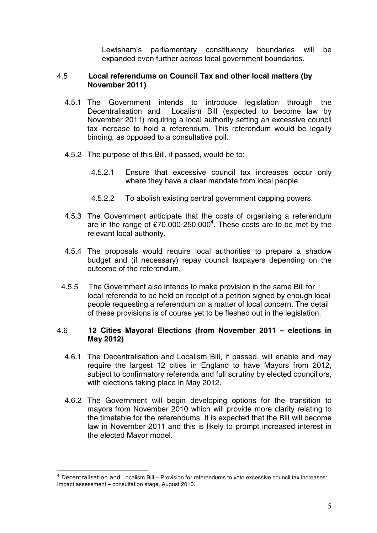Lewisham's parliamentary constituency boundaries will be expanded even further across local government boundaries.

#### 4.5 **Local referendums on Council Tax and other local matters (by November 2011)**

- 4.5.1 The Government intends to introduce legislation through the Decentralisation and Localism Bill (expected to become law by November 2011) requiring a local authority setting an excessive council tax increase to hold a referendum. This referendum would be legally binding, as opposed to a consultative poll.
- 4.5.2 The purpose of this Bill, if passed, would be to:
	- 4.5.2.1 Ensure that excessive council tax increases occur only where they have a clear mandate from local people.
	- 4.5.2.2 To abolish existing central government capping powers.
- 4.5.3 The Government anticipate that the costs of organising a referendum are in the range of £70,000-250,000<sup>4</sup>. These costs are to be met by the relevant local authority.
- 4.5.4 The proposals would require local authorities to prepare a shadow budget and (if necessary) repay council taxpayers depending on the outcome of the referendum.
- 4.5.5 The Government also intends to make provision in the same Bill for local referenda to be held on receipt of a petition signed by enough local people requesting a referendum on a matter of local concern. The detail of these provisions is of course yet to be fleshed out in the legislation.

#### 4.6 **12 Cities Mayoral Elections (from November 2011 – elections in May 2012)**

- 4.6.1 The Decentralisation and Localism Bill, if passed, will enable and may require the largest 12 cities in England to have Mayors from 2012, subject to confirmatory referenda and full scrutiny by elected councillors, with elections taking place in May 2012.
- 4.6.2 The Government will begin developing options for the transition to mayors from November 2010 which will provide more clarity relating to the timetable for the referendums. It is expected that the Bill will become law in November 2011 and this is likely to prompt increased interest in the elected Mayor model.

<sup>4</sup> Decentralisation and Localism Bill – Provision for referendums to veto excessive council tax increases: Impact assessment – consultation stage, August 2010.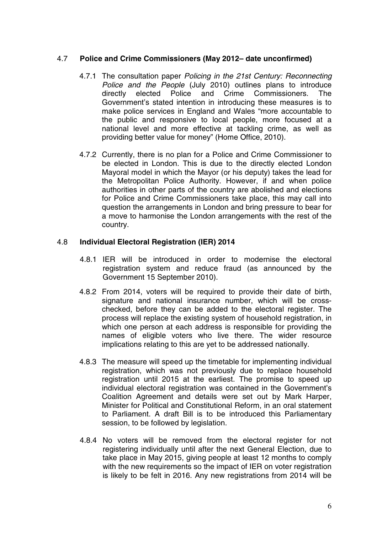#### 4.7 **Police and Crime Commissioners (May 2012– date unconfirmed)**

- 4.7.1 The consultation paper Policing in the 21st Century: Reconnecting Police and the People (July 2010) outlines plans to introduce directly elected Police and Crime Commissioners. The Government's stated intention in introducing these measures is to make police services in England and Wales "more accountable to the public and responsive to local people, more focused at a national level and more effective at tackling crime, as well as providing better value for money" (Home Office, 2010).
- 4.7.2 Currently, there is no plan for a Police and Crime Commissioner to be elected in London. This is due to the directly elected London Mayoral model in which the Mayor (or his deputy) takes the lead for the Metropolitan Police Authority. However, if and when police authorities in other parts of the country are abolished and elections for Police and Crime Commissioners take place, this may call into question the arrangements in London and bring pressure to bear for a move to harmonise the London arrangements with the rest of the country.

#### 4.8 **Individual Electoral Registration (IER) 2014**

- 4.8.1 IER will be introduced in order to modernise the electoral registration system and reduce fraud (as announced by the Government 15 September 2010).
- 4.8.2 From 2014, voters will be required to provide their date of birth, signature and national insurance number, which will be crosschecked, before they can be added to the electoral register. The process will replace the existing system of household registration, in which one person at each address is responsible for providing the names of eligible voters who live there. The wider resource implications relating to this are yet to be addressed nationally.
- 4.8.3 The measure will speed up the timetable for implementing individual registration, which was not previously due to replace household registration until 2015 at the earliest. The promise to speed up individual electoral registration was contained in the Government's Coalition Agreement and details were set out by Mark Harper, Minister for Political and Constitutional Reform, in an oral statement to Parliament. A draft Bill is to be introduced this Parliamentary session, to be followed by legislation.
- 4.8.4 No voters will be removed from the electoral register for not registering individually until after the next General Election, due to take place in May 2015, giving people at least 12 months to comply with the new requirements so the impact of IER on voter registration is likely to be felt in 2016. Any new registrations from 2014 will be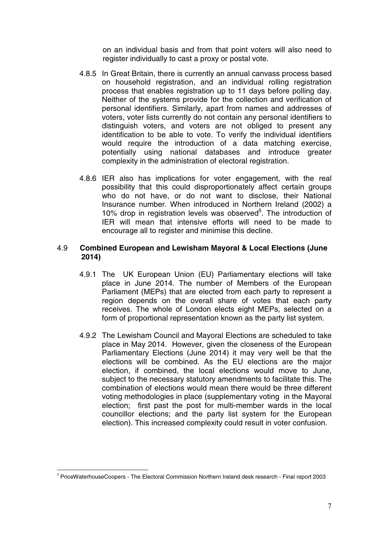on an individual basis and from that point voters will also need to register individually to cast a proxy or postal vote.

- 4.8.5 In Great Britain, there is currently an annual canvass process based on household registration, and an individual rolling registration process that enables registration up to 11 days before polling day. Neither of the systems provide for the collection and verification of personal identifiers. Similarly, apart from names and addresses of voters, voter lists currently do not contain any personal identifiers to distinguish voters, and voters are not obliged to present any identification to be able to vote. To verify the individual identifiers would require the introduction of a data matching exercise, potentially using national databases and introduce greater complexity in the administration of electoral registration.
- 4.8.6 IER also has implications for voter engagement, with the real possibility that this could disproportionately affect certain groups who do not have, or do not want to disclose, their National Insurance number. When introduced in Northern Ireland (2002) a 10% drop in registration levels was observed<sup>5</sup>. The introduction of IER will mean that intensive efforts will need to be made to encourage all to register and minimise this decline.

#### 4.9 **Combined European and Lewisham Mayoral & Local Elections (June 2014)**

- 4.9.1 The UK European Union (EU) Parliamentary elections will take place in June 2014. The number of Members of the European Parliament (MEPs) that are elected from each party to represent a region depends on the overall share of votes that each party receives. The whole of London elects eight MEPs, selected on a form of proportional representation known as the party list system.
- 4.9.2 The Lewisham Council and Mayoral Elections are scheduled to take place in May 2014. However, given the closeness of the European Parliamentary Elections (June 2014) it may very well be that the elections will be combined. As the EU elections are the major election, if combined, the local elections would move to June, subject to the necessary statutory amendments to facilitate this. The combination of elections would mean there would be three different voting methodologies in place (supplementary voting in the Mayoral election; first past the post for multi-member wards in the local councillor elections; and the party list system for the European election). This increased complexity could result in voter confusion.

<sup>5</sup> PriceWaterhouseCoopers - The Electoral Commission Northern Ireland desk research - Final report 2003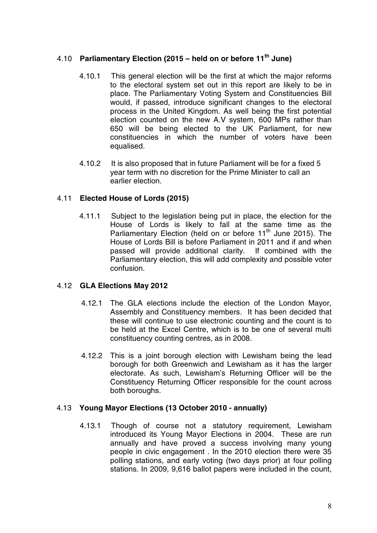## 4.10 **Parliamentary Election (2015 – held on or before 11th June)**

- 4.10.1 This general election will be the first at which the major reforms to the electoral system set out in this report are likely to be in place. The Parliamentary Voting System and Constituencies Bill would, if passed, introduce significant changes to the electoral process in the United Kingdom. As well being the first potential election counted on the new A.V system, 600 MPs rather than 650 will be being elected to the UK Parliament, for new constituencies in which the number of voters have been equalised.
- 4.10.2 It is also proposed that in future Parliament will be for a fixed 5 year term with no discretion for the Prime Minister to call an earlier election.

## 4.11 **Elected House of Lords (2015)**

4.11.1 Subject to the legislation being put in place, the election for the House of Lords is likely to fall at the same time as the Parliamentary Election (held on or before 11<sup>th</sup> June 2015). The House of Lords Bill is before Parliament in 2011 and if and when passed will provide additional clarity. If combined with the Parliamentary election, this will add complexity and possible voter confusion.

## 4.12 **GLA Elections May 2012**

- 4.12.1 The GLA elections include the election of the London Mayor, Assembly and Constituency members. It has been decided that these will continue to use electronic counting and the count is to be held at the Excel Centre, which is to be one of several multi constituency counting centres, as in 2008.
- 4.12.2 This is a joint borough election with Lewisham being the lead borough for both Greenwich and Lewisham as it has the larger electorate. As such, Lewisham's Returning Officer will be the Constituency Returning Officer responsible for the count across both boroughs.

#### 4.13 **Young Mayor Elections (13 October 2010 - annually)**

4.13.1 Though of course not a statutory requirement, Lewisham introduced its Young Mayor Elections in 2004. These are run annually and have proved a success involving many young people in civic engagement . In the 2010 election there were 35 polling stations, and early voting (two days prior) at four polling stations. In 2009, 9,616 ballot papers were included in the count,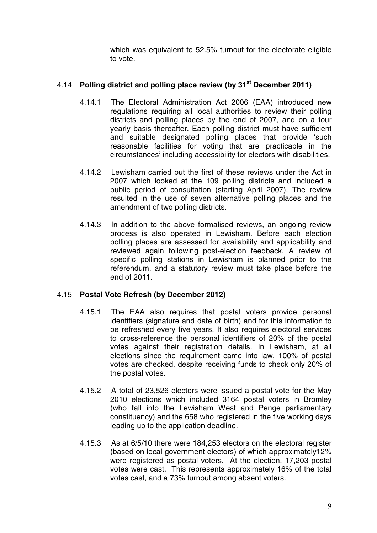which was equivalent to 52.5% turnout for the electorate eligible to vote.

## 4.14 **Polling district and polling place review (by 31st December 2011)**

- 4.14.1 The Electoral Administration Act 2006 (EAA) introduced new regulations requiring all local authorities to review their polling districts and polling places by the end of 2007, and on a four yearly basis thereafter. Each polling district must have sufficient and suitable designated polling places that provide 'such reasonable facilities for voting that are practicable in the circumstances' including accessibility for electors with disabilities.
- 4.14.2 Lewisham carried out the first of these reviews under the Act in 2007 which looked at the 109 polling districts and included a public period of consultation (starting April 2007). The review resulted in the use of seven alternative polling places and the amendment of two polling districts.
- 4.14.3 In addition to the above formalised reviews, an ongoing review process is also operated in Lewisham. Before each election polling places are assessed for availability and applicability and reviewed again following post-election feedback. A review of specific polling stations in Lewisham is planned prior to the referendum, and a statutory review must take place before the end of 2011.

#### 4.15 **Postal Vote Refresh (by December 2012)**

- 4.15.1 The EAA also requires that postal voters provide personal identifiers (signature and date of birth) and for this information to be refreshed every five years. It also requires electoral services to cross-reference the personal identifiers of 20% of the postal votes against their registration details. In Lewisham, at all elections since the requirement came into law, 100% of postal votes are checked, despite receiving funds to check only 20% of the postal votes.
- 4.15.2 A total of 23,526 electors were issued a postal vote for the May 2010 elections which included 3164 postal voters in Bromley (who fall into the Lewisham West and Penge parliamentary constituency) and the 658 who registered in the five working days leading up to the application deadline.
- 4.15.3 As at 6/5/10 there were 184,253 electors on the electoral register (based on local government electors) of which approximately12% were registered as postal voters. At the election, 17,203 postal votes were cast. This represents approximately 16% of the total votes cast, and a 73% turnout among absent voters.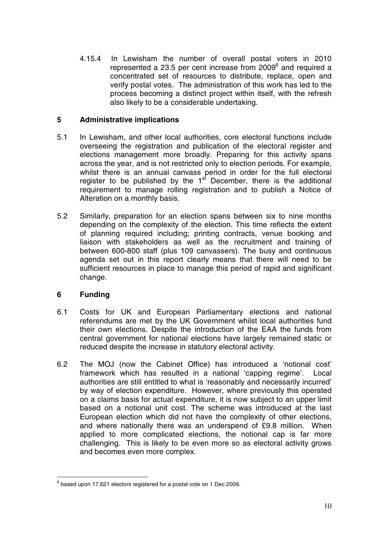4.15.4 In Lewisham the number of overall postal voters in 2010 represented a 23.5 per cent increase from 2009<sup>6</sup> and required a concentrated set of resources to distribute, replace, open and verify postal votes. The administration of this work has led to the process becoming a distinct project within itself, with the refresh also likely to be a considerable undertaking.

## **5 Administrative implications**

- 5.1 In Lewisham, and other local authorities, core electoral functions include overseeing the registration and publication of the electoral register and elections management more broadly. Preparing for this activity spans across the year, and is not restricted only to election periods. For example, whilst there is an annual canvass period in order for the full electoral register to be published by the  $1<sup>st</sup>$  December, there is the additional requirement to manage rolling registration and to publish a Notice of Alteration on a monthly basis.
- 5.2 Similarly, preparation for an election spans between six to nine months depending on the complexity of the election. This time reflects the extent of planning required including; printing contracts, venue booking and liaison with stakeholders as well as the recruitment and training of between 600-800 staff (plus 109 canvassers). The busy and continuous agenda set out in this report clearly means that there will need to be sufficient resources in place to manage this period of rapid and significant change.

## **6 Funding**

- 6.1 Costs for UK and European Parliamentary elections and national referendums are met by the UK Government whilst local authorities fund their own elections. Despite the introduction of the EAA the funds from central government for national elections have largely remained static or reduced despite the increase in statutory electoral activity.
- 6.2 The MOJ (now the Cabinet Office) has introduced a 'notional cost' framework which has resulted in a national 'capping regime'. Local authorities are still entitled to what is 'reasonably and necessarily incurred' by way of election expenditure. However, where previously this operated on a claims basis for actual expenditure, it is now subject to an upper limit based on a notional unit cost. The scheme was introduced at the last European election which did not have the complexity of other elections, and where nationally there was an underspend of £9.8 million. When applied to more complicated elections, the notional cap is far more challenging. This is likely to be even more so as electoral activity grows and becomes even more complex.

 $6$  based upon 17,621 electors registered for a postal vote on 1 Dec 2009.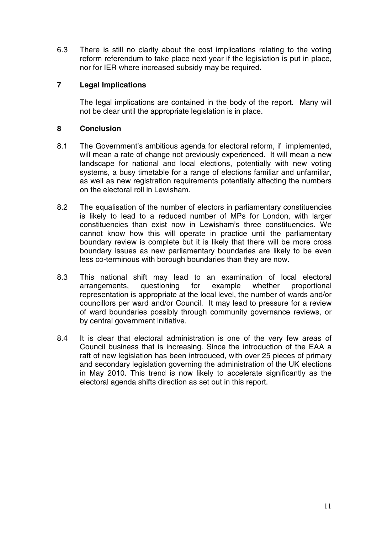6.3 There is still no clarity about the cost implications relating to the voting reform referendum to take place next year if the legislation is put in place, nor for IER where increased subsidy may be required.

## **7 Legal Implications**

The legal implications are contained in the body of the report. Many will not be clear until the appropriate legislation is in place.

## **8 Conclusion**

- 8.1 The Government's ambitious agenda for electoral reform, if implemented, will mean a rate of change not previously experienced. It will mean a new landscape for national and local elections, potentially with new voting systems, a busy timetable for a range of elections familiar and unfamiliar, as well as new registration requirements potentially affecting the numbers on the electoral roll in Lewisham.
- 8.2 The equalisation of the number of electors in parliamentary constituencies is likely to lead to a reduced number of MPs for London, with larger constituencies than exist now in Lewisham's three constituencies. We cannot know how this will operate in practice until the parliamentary boundary review is complete but it is likely that there will be more cross boundary issues as new parliamentary boundaries are likely to be even less co-terminous with borough boundaries than they are now.
- 8.3 This national shift may lead to an examination of local electoral arrangements, questioning for example whether proportional representation is appropriate at the local level, the number of wards and/or councillors per ward and/or Council. It may lead to pressure for a review of ward boundaries possibly through community governance reviews, or by central government initiative.
- 8.4 It is clear that electoral administration is one of the very few areas of Council business that is increasing. Since the introduction of the EAA a raft of new legislation has been introduced, with over 25 pieces of primary and secondary legislation governing the administration of the UK elections in May 2010. This trend is now likely to accelerate significantly as the electoral agenda shifts direction as set out in this report.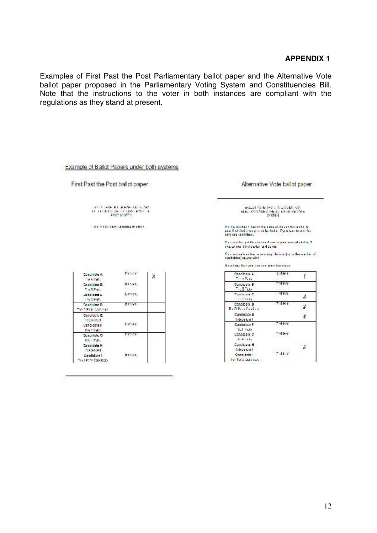#### **APPENDIX 1**

Examples of First Past the Post Parliamentary ballot paper and the Alternative Vote ballot paper proposed in the Parliamentary Voting System and Constituencies Bill. Note that the instructions to the voter in both instances are compliant with the regulations as they stand at present.

| First Past the Post ballot paper.                                                |                           |   | Alternative Vote ballot paper                                                                                                                            |                      |  |  |
|----------------------------------------------------------------------------------|---------------------------|---|----------------------------------------------------------------------------------------------------------------------------------------------------------|----------------------|--|--|
| TOTAL HAR RESPONDED TO ART<br><b>11 FEBRUAREN DE LINNEPPOLITI</b><br>POST SYSTEM |                           |   | ENLINE WIRRICH A LAVENING<br>ELECTION UNDER THE ALTERNATIVE VOTE<br>SYSTEM.                                                                              |                      |  |  |
|                                                                                  | WILL-TOURN-PARTITION-PRIS |   | the this months it is assumed a managed charge of these who<br>pour final chuit a-tua your configuración di your ware travada fue<br>cely sec confiduol. |                      |  |  |
|                                                                                  |                           |   | Y costo dad put ha contact 2 contactor ansent chalce, 2<br>rectory you delete solve and solved.                                                          |                      |  |  |
|                                                                                  |                           |   | You can use knowledge as a computation of party the months of<br>candidates) na you winn.<br>three flows the come contract more than mean.               |                      |  |  |
| Candidate At                                                                     | Freez <sup>1</sup>        | X | Candidate 4<br><b>Allen Allen</b>                                                                                                                        | <b>STANT</b>         |  |  |
| <b>Heik Patt</b><br>Candidate R<br>$T \times 0$ Pate                             | Ersyt.                    |   | Gardiaute B<br>The Black                                                                                                                                 | <b>Tallet</b>        |  |  |
| La 10 0.00 L'<br><b>In Clinty</b>                                                | Lysky,                    |   | Controlled C<br>100 Childa                                                                                                                               | otkon.<br>3          |  |  |
| Cand date D<br>The allege Continues                                              | Ercat.                    |   | Conditions D<br>The D.P. in Cardion                                                                                                                      | nd in C              |  |  |
| Gard data E<br>hocks ford.                                                       |                           |   | Candidate E<br><b>TIACAROL</b>                                                                                                                           | 4                    |  |  |
| card grish.<br>Its Firsh                                                         | Treas?                    |   | Condition P.<br><b>Inchester</b>                                                                                                                         | - Han                |  |  |
| Condition C.<br><b>ILS LEats</b>                                                 | Trace:                    |   | condition of<br><b>British</b>                                                                                                                           | <b>TANK</b>          |  |  |
| Candidate H<br><b>Poster Out</b>                                                 |                           |   | Cardidate H<br><b>Lideswort</b>                                                                                                                          | Б<br><b>Death of</b> |  |  |
| Candidate I                                                                      | Ersky.                    |   | Centrénte II<br>be Patricias cas                                                                                                                         |                      |  |  |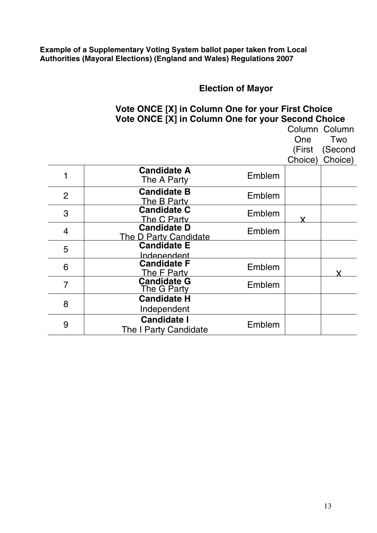#### **Example of a Supplementary Voting System ballot paper taken from Local Authorities (Mayoral Elections) (England and Wales) Regulations 2007**

# **Election of Mayor**

## **Vote ONCE [X] in Column One for your First Choice Vote ONCE [X] in Column One for your Second Choice** Column Column

|                |                                             |        | (First  | (Second |
|----------------|---------------------------------------------|--------|---------|---------|
|                |                                             |        | Choice) | Choice) |
| 1              | <b>Candidate A</b><br>The A Party           | Emblem |         |         |
| $\overline{2}$ | <b>Candidate B</b><br>The B Party           | Emblem |         |         |
| 3              | <b>Candidate C</b><br>The C Party           | Emblem |         |         |
| 4              | <b>Candidate D</b><br>The D Party Candidate | Emblem |         |         |
| 5              | <b>Candidate E</b><br><u>Independent</u>    |        |         |         |
| 6              | <b>Candidate F</b><br>The F Party           | Emblem |         |         |
| $\overline{7}$ | <b>Candidate G</b><br>The G Party           | Emblem |         |         |
| 8              | <b>Candidate H</b>                          |        |         |         |
|                | Independent                                 |        |         |         |
| 9              | <b>Candidate I</b><br>The I Party Candidate | Emblem |         |         |

One Two